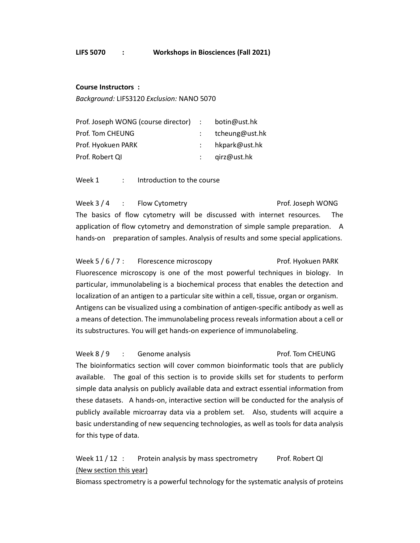## Course Instructors :

Background: LIFS3120 Exclusion: NANO 5070

| Prof. Joseph WONG (course director) : botin@ust.hk |                   |
|----------------------------------------------------|-------------------|
| Prof. Tom CHEUNG                                   | tcheung@ust.hk    |
| Prof. Hyokuen PARK                                 | : $hkpark@ust.hk$ |
| Prof. Robert QI                                    | qirz@ust.hk       |

Week 1 : Introduction to the course

Week 3 / 4 : Flow Cytometry **Example 2 and Series** Prof. Joseph WONG The basics of flow cytometry will be discussed with internet resources. The application of flow cytometry and demonstration of simple sample preparation. A hands-on preparation of samples. Analysis of results and some special applications.

Week 5 / 6 / 7 : Florescence microscopy entitled a Prof. Hyokuen PARK Fluorescence microscopy is one of the most powerful techniques in biology. In particular, immunolabeling is a biochemical process that enables the detection and localization of an antigen to a particular site within a cell, tissue, organ or organism. Antigens can be visualized using a combination of antigen-specific antibody as well as a means of detection. The immunolabeling process reveals information about a cell or its substructures. You will get hands-on experience of immunolabeling.

Week 8 / 9 : Genome analysis entitled and the Prof. Tom CHEUNG The bioinformatics section will cover common bioinformatic tools that are publicly available. The goal of this section is to provide skills set for students to perform simple data analysis on publicly available data and extract essential information from these datasets. A hands-on, interactive section will be conducted for the analysis of publicly available microarray data via a problem set. Also, students will acquire a basic understanding of new sequencing technologies, as well as tools for data analysis for this type of data.

Week 11 / 12 : Protein analysis by mass spectrometry Prof. Robert QI (New section this year)

Biomass spectrometry is a powerful technology for the systematic analysis of proteins